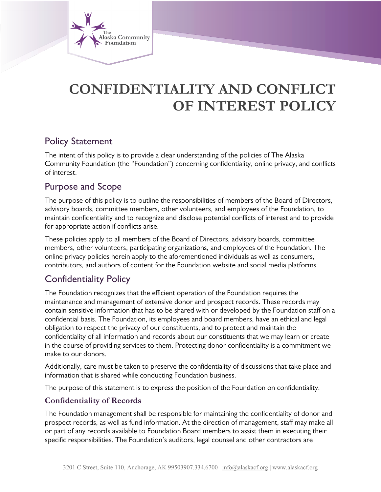

# **CONFIDENTIALITY AND CONFLICT OF INTEREST POLICY**

# Policy Statement

The intent of this policy is to provide a clear understanding of the policies of The Alaska Community Foundation (the "Foundation") concerning confidentiality, online privacy, and conflicts of interest.

# Purpose and Scope

The purpose of this policy is to outline the responsibilities of members of the Board of Directors, advisory boards, committee members, other volunteers, and employees of the Foundation, to maintain confidentiality and to recognize and disclose potential conflicts of interest and to provide for appropriate action if conflicts arise.

These policies apply to all members of the Board of Directors, advisory boards, committee members, other volunteers, participating organizations, and employees of the Foundation. The online privacy policies herein apply to the aforementioned individuals as well as consumers, contributors, and authors of content for the Foundation website and social media platforms.

# Confidentiality Policy

The Foundation recognizes that the efficient operation of the Foundation requires the maintenance and management of extensive donor and prospect records. These records may contain sensitive information that has to be shared with or developed by the Foundation staff on a confidential basis. The Foundation, its employees and board members, have an ethical and legal obligation to respect the privacy of our constituents, and to protect and maintain the confidentiality of all information and records about our constituents that we may learn or create in the course of providing services to them. Protecting donor confidentiality is a commitment we make to our donors.

Additionally, care must be taken to preserve the confidentiality of discussions that take place and information that is shared while conducting Foundation business.

The purpose of this statement is to express the position of the Foundation on confidentiality.

## **Confidentiality of Records**

The Foundation management shall be responsible for maintaining the confidentiality of donor and prospect records, as well as fund information. At the direction of management, staff may make all or part of any records available to Foundation Board members to assist them in executing their specific responsibilities. The Foundation's auditors, legal counsel and other contractors are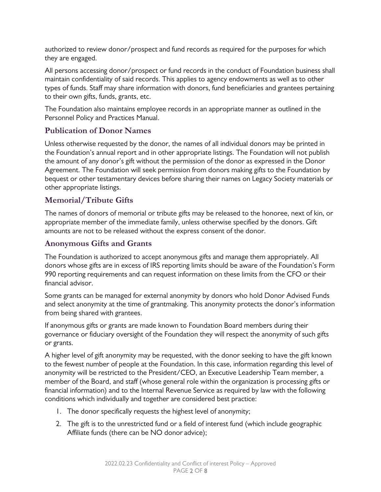authorized to review donor/prospect and fund records as required for the purposes for which they are engaged.

All persons accessing donor/prospect or fund records in the conduct of Foundation business shall maintain confidentiality of said records. This applies to agency endowments as well as to other types of funds. Staff may share information with donors, fund beneficiaries and grantees pertaining to their own gifts, funds, grants, etc.

The Foundation also maintains employee records in an appropriate manner as outlined in the Personnel Policy and Practices Manual.

# **Publication of Donor Names**

Unless otherwise requested by the donor, the names of all individual donors may be printed in the Foundation's annual report and in other appropriate listings. The Foundation will not publish the amount of any donor's gift without the permission of the donor as expressed in the Donor Agreement. The Foundation will seek permission from donors making gifts to the Foundation by bequest or other testamentary devices before sharing their names on Legacy Society materials or other appropriate listings.

## **Memorial/Tribute Gifts**

The names of donors of memorial or tribute gifts may be released to the honoree, next of kin, or appropriate member of the immediate family, unless otherwise specified by the donors. Gift amounts are not to be released without the express consent of the donor.

### **Anonymous Gifts and Grants**

The Foundation is authorized to accept anonymous gifts and manage them appropriately. All donors whose gifts are in excess of IRS reporting limits should be aware of the Foundation's Form 990 reporting requirements and can request information on these limits from the CFO or their financial advisor.

Some grants can be managed for external anonymity by donors who hold Donor Advised Funds and select anonymity at the time of grantmaking. This anonymity protects the donor's information from being shared with grantees.

If anonymous gifts or grants are made known to Foundation Board members during their governance or fiduciary oversight of the Foundation they will respect the anonymity of such gifts or grants.

A higher level of gift anonymity may be requested, with the donor seeking to have the gift known to the fewest number of people at the Foundation. In this case, information regarding this level of anonymity will be restricted to the President/CEO, an Executive Leadership Team member, a member of the Board, and staff (whose general role within the organization is processing gifts or financial information) and to the Internal Revenue Service as required by law with the following conditions which individually and together are considered best practice:

- 1. The donor specifically requests the highest level of anonymity;
- 2. The gift is to the unrestricted fund or a field of interest fund (which include geographic Affiliate funds (there can be NO donor advice);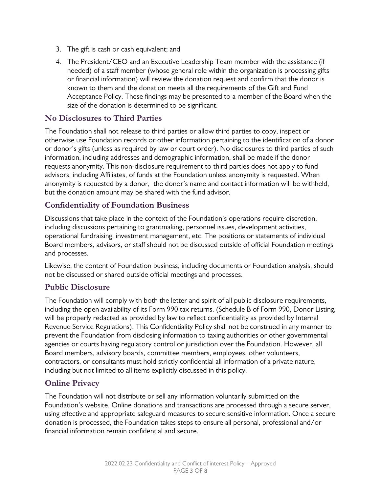- 3. The gift is cash or cash equivalent; and
- 4. The President/CEO and an Executive Leadership Team member with the assistance (if needed) of a staff member (whose general role within the organization is processing gifts or financial information) will review the donation request and confirm that the donor is known to them and the donation meets all the requirements of the Gift and Fund Acceptance Policy. These findings may be presented to a member of the Board when the size of the donation is determined to be significant.

### **No Disclosures to Third Parties**

The Foundation shall not release to third parties or allow third parties to copy, inspect or otherwise use Foundation records or other information pertaining to the identification of a donor or donor's gifts (unless as required by law or court order). No disclosures to third parties of such information, including addresses and demographic information, shall be made if the donor requests anonymity. This non-disclosure requirement to third parties does not apply to fund advisors, including Affiliates, of funds at the Foundation unless anonymity is requested. When anonymity is requested by a donor, the donor's name and contact information will be withheld, but the donation amount may be shared with the fund advisor.

### **Confidentiality of Foundation Business**

Discussions that take place in the context of the Foundation's operations require discretion, including discussions pertaining to grantmaking, personnel issues, development activities, operational fundraising, investment management, etc. The positions or statements of individual Board members, advisors, or staff should not be discussed outside of official Foundation meetings and processes.

Likewise, the content of Foundation business, including documents or Foundation analysis, should not be discussed or shared outside official meetings and processes.

#### **Public Disclosure**

The Foundation will comply with both the letter and spirit of all public disclosure requirements, including the open availability of its Form 990 tax returns. (Schedule B of Form 990, Donor Listing, will be properly redacted as provided by law to reflect confidentiality as provided by Internal Revenue Service Regulations). This Confidentiality Policy shall not be construed in any manner to prevent the Foundation from disclosing information to taxing authorities or other governmental agencies or courts having regulatory control or jurisdiction over the Foundation. However, all Board members, advisory boards, committee members, employees, other volunteers, contractors, or consultants must hold strictly confidential all information of a private nature, including but not limited to all items explicitly discussed in this policy.

### **Online Privacy**

The Foundation will not distribute or sell any information voluntarily submitted on the Foundation's website. Online donations and transactions are processed through a secure server, using effective and appropriate safeguard measures to secure sensitive information. Once a secure donation is processed, the Foundation takes steps to ensure all personal, professional and/or financial information remain confidential and secure.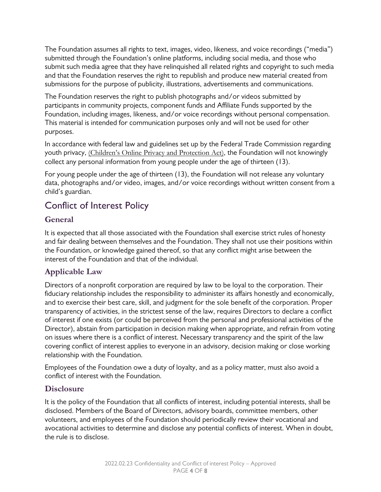The Foundation assumes all rights to text, images, video, likeness, and voice recordings ("media") submitted through the Foundation's online platforms, including social media, and those who submit such media agree that they have relinquished all related rights and copyright to such media and that the Foundation reserves the right to republish and produce new material created from submissions for the purpose of publicity, illustrations, advertisements and communications.

The Foundation reserves the right to publish photographs and/or videos submitted by participants in community projects, component funds and Affiliate Funds supported by the Foundation, including images, likeness, and/or voice recordings without personal compensation. This material is intended for communication purposes only and will not be used for other purposes.

In accordance with federal law and guidelines set up by the Federal Trade Commission regarding youth privacy, *(Children's Online Privacy and Protection Act)*, the Foundation will not knowingly collect any personal information from young people under the age of thirteen (13).

For young people under the age of thirteen (13), the Foundation will not release any voluntary data, photographs and/or video, images, and/or voice recordings without written consent from a child's guardian.

# Conflict of Interest Policy

# **General**

It is expected that all those associated with the Foundation shall exercise strict rules of honesty and fair dealing between themselves and the Foundation. They shall not use their positions within the Foundation, or knowledge gained thereof, so that any conflict might arise between the interest of the Foundation and that of the individual.

# **Applicable Law**

Directors of a nonprofit corporation are required by law to be loyal to the corporation. Their fiduciary relationship includes the responsibility to administer its affairs honestly and economically, and to exercise their best care, skill, and judgment for the sole benefit of the corporation. Proper transparency of activities, in the strictest sense of the law, requires Directors to declare a conflict of interest if one exists (or could be perceived from the personal and professional activities of the Director), abstain from participation in decision making when appropriate, and refrain from voting on issues where there is a conflict of interest. Necessary transparency and the spirit of the law covering conflict of interest applies to everyone in an advisory, decision making or close working relationship with the Foundation.

Employees of the Foundation owe a duty of loyalty, and as a policy matter, must also avoid a conflict of interest with the Foundation.

## **Disclosure**

It is the policy of the Foundation that all conflicts of interest, including potential interests, shall be disclosed. Members of the Board of Directors, advisory boards, committee members, other volunteers, and employees of the Foundation should periodically review their vocational and avocational activities to determine and disclose any potential conflicts of interest. When in doubt, the rule is to disclose.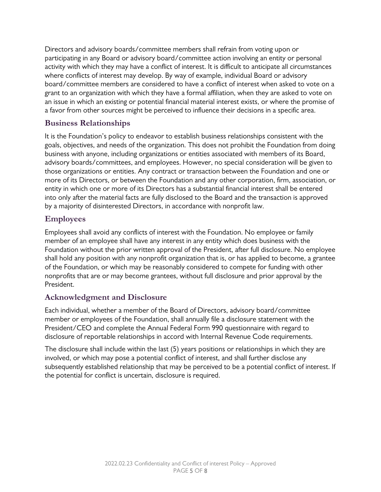Directors and advisory boards/committee members shall refrain from voting upon or participating in any Board or advisory board/committee action involving an entity or personal activity with which they may have a conflict of interest. It is difficult to anticipate all circumstances where conflicts of interest may develop. By way of example, individual Board or advisory board/committee members are considered to have a conflict of interest when asked to vote on a grant to an organization with which they have a formal affiliation, when they are asked to vote on an issue in which an existing or potential financial material interest exists, or where the promise of a favor from other sources might be perceived to influence their decisions in a specific area.

### **Business Relationships**

It is the Foundation's policy to endeavor to establish business relationships consistent with the goals, objectives, and needs of the organization. This does not prohibit the Foundation from doing business with anyone, including organizations or entities associated with members of its Board, advisory boards/committees, and employees. However, no special consideration will be given to those organizations or entities. Any contract or transaction between the Foundation and one or more of its Directors, or between the Foundation and any other corporation, firm, association, or entity in which one or more of its Directors has a substantial financial interest shall be entered into only after the material facts are fully disclosed to the Board and the transaction is approved by a majority of disinterested Directors, in accordance with nonprofit law.

## **Employees**

Employees shall avoid any conflicts of interest with the Foundation. No employee or family member of an employee shall have any interest in any entity which does business with the Foundation without the prior written approval of the President, after full disclosure. No employee shall hold any position with any nonprofit organization that is, or has applied to become, a grantee of the Foundation, or which may be reasonably considered to compete for funding with other nonprofits that are or may become grantees, without full disclosure and prior approval by the President.

### **Acknowledgment and Disclosure**

Each individual, whether a member of the Board of Directors, advisory board/committee member or employees of the Foundation, shall annually file a disclosure statement with the President/CEO and complete the Annual Federal Form 990 questionnaire with regard to disclosure of reportable relationships in accord with Internal Revenue Code requirements.

The disclosure shall include within the last (5) years positions or relationships in which they are involved, or which may pose a potential conflict of interest, and shall further disclose any subsequently established relationship that may be perceived to be a potential conflict of interest. If the potential for conflict is uncertain, disclosure is required.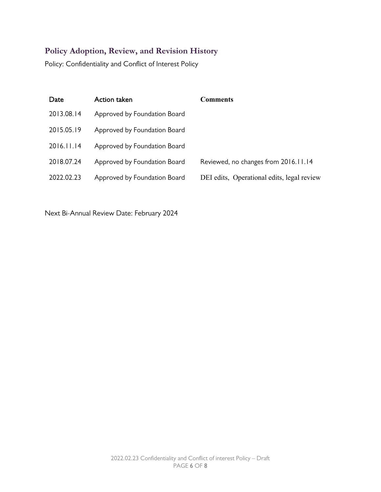# **Policy Adoption, Review, and Revision History**

Policy: Confidentiality and Conflict of Interest Policy

| Date       | Action taken                 | Comments                                   |
|------------|------------------------------|--------------------------------------------|
| 2013.08.14 | Approved by Foundation Board |                                            |
| 2015.05.19 | Approved by Foundation Board |                                            |
| 2016.11.14 | Approved by Foundation Board |                                            |
| 2018.07.24 | Approved by Foundation Board | Reviewed, no changes from 2016.11.14       |
| 2022.02.23 | Approved by Foundation Board | DEI edits, Operational edits, legal review |

Next Bi-Annual Review Date: February 2024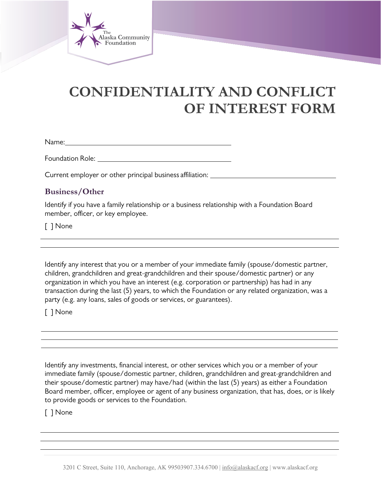

# **CONFIDENTIALITY AND CONFLICT OF INTEREST FORM**

Name:

Foundation Role:

Current employer or other principal business affiliation: \_\_\_\_\_\_\_\_\_\_\_\_\_\_\_\_\_\_\_\_\_\_\_

### **Business/Other**

Identify if you have a family relationship or a business relationship with a Foundation Board member, officer, or key employee.

[ ] None

Identify any interest that you or a member of your immediate family (spouse/domestic partner, children, grandchildren and great-grandchildren and their spouse/domestic partner) or any organization in which you have an interest (e.g. corporation or partnership) has had in any transaction during the last (5) years, to which the Foundation or any related organization, was a party (e.g. any loans, sales of goods or services, or guarantees).

[ ] None

Identify any investments, financial interest, or other services which you or a member of your immediate family (spouse/domestic partner, children, grandchildren and great-grandchildren and their spouse/domestic partner) may have/had (within the last (5) years) as either a Foundation Board member, officer, employee or agent of any business organization, that has, does, or is likely to provide goods or services to the Foundation.

[ ] None